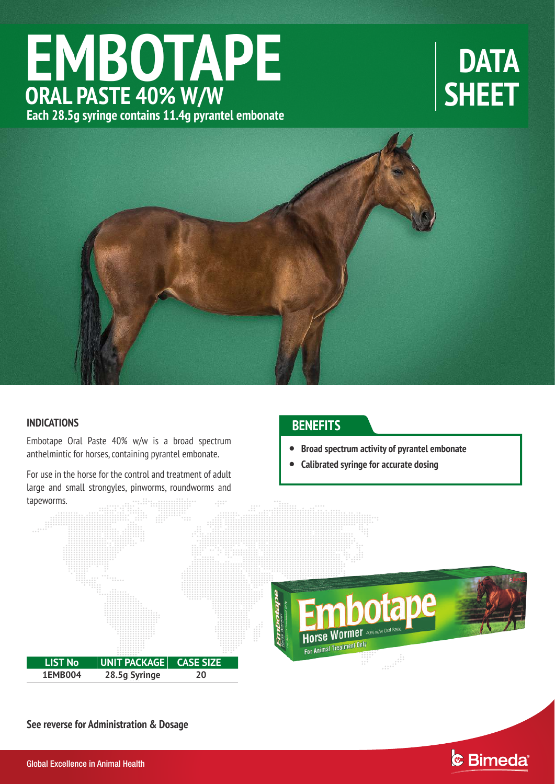# **EMBOTAPE Each 28.5g syringe contains 11.4g pyrantel embonate ORAL PASTE 40% W/W**

# **DATA SHEET**



## **INDICATIONS**

Embotape Oral Paste 40% w/w is a broad spectrum anthelmintic for horses, containing pyrantel embonate.

For use in the horse for the control and treatment of adult large and small strongyles, pinworms, roundworms and tapeworms. . .... ........<br>.... ...........

# **BENEFITS**

- $\bullet$ **Broad spectrum activity of pyrantel embonate**
- $\bullet$ **Calibrated syringe for accurate dosing**



**See reverse for Administration & Dosage**